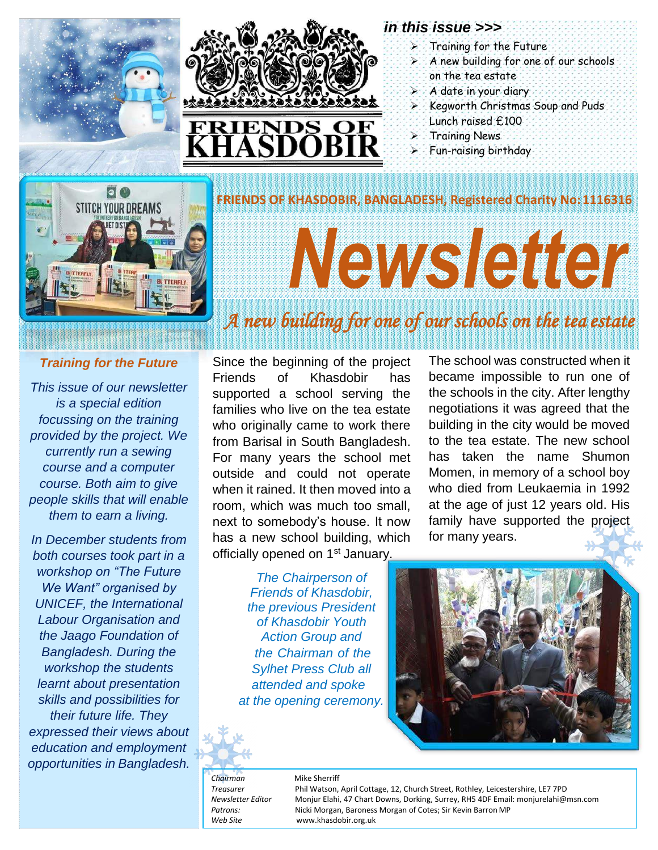



#### *in this issue >>>*

- $\triangleright$  Training for the Future
- A new building for one of our schools on the tea estate
- $\triangleright$  A date in your diary
- $\triangleright$  Kegworth Christmas Soup and Puds Lunch raised £100

The school was constructed when it became impossible to run one of the schools in the city. After lengthy negotiations it was agreed that the building in the city would be moved to the tea estate. The new school has taken the name Shumon Momen, in memory of a school boy who died from Leukaemia in 1992 at the age of just 12 years old. His family have supported the project

- Training News
- Fun-raising birthday



# NAVSIAI O

**FRIENDS OF KHASDOBIR, BANGLADESH, Registered Charity No:1116316**

# *A new building for one of our schools on the tea estate*

#### *Training for the Future*

*This issue of our newsletter is a special edition focussing on the training provided by the project. We currently run a sewing course and a computer course. Both aim to give people skills that will enable them to earn a living.*

*In December students from both courses took part in a workshop on "The Future We Want" organised by UNICEF, the International Labour Organisation and the Jaago Foundation of Bangladesh. During the workshop the students learnt about presentation skills and possibilities for their future life. They expressed their views about education and employment opportunities in Bangladesh.*

Since the beginning of the project Friends of Khasdobir has supported a school serving the families who live on the tea estate who originally came to work there from Barisal in South Bangladesh. For many years the school met outside and could not operate when it rained. It then moved into a room, which was much too small, next to somebody's house. It now has a new school building, which officially opened on 1<sup>st</sup> January.

> *The Chairperson of Friends of Khasdobir, the previous President of Khasdobir Youth Action Group and the Chairman of the Sylhet Press Club all attended and spoke at the opening ceremony.*

for many years.

*Chairman* Mike Sherriff

*Treasurer* Phil Watson, April Cottage, 12, Church Street, Rothley, Leicestershire, LE7 7PD *Newsletter Editor* Monjur Elahi, 47 Chart Downs, Dorking, Surrey, RH5 4DF Email[: monjurelahi@msn.com](mailto:monjurelahi@msn.com) *Patrons:* Nicki Morgan, Baroness Morgan of Cotes; Sir Kevin Barron MP *Web Site* [www.khasdobir.org.uk](http://www.khasdobir.org.uk/)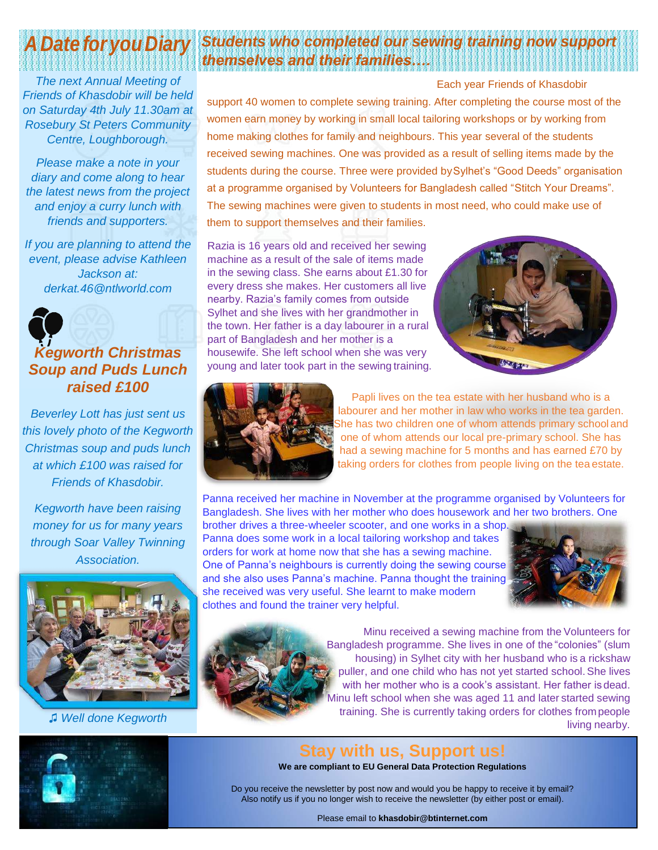# *A Date for youDiary*

*The next Annual Meeting of Friends of Khasdobir will be held on Saturday 4th July 11.30am at Rosebury St Peters Community Centre, Loughborough.*

*Please make a note in your diary and come along to hear the latest news from the project and enjoy a curry lunch with friends and supporters.*

*If you are planning to attend the event, please advise Kathleen Jackson at: [derkat.46@ntlworld.com](mailto:derkat.46@ntlworld.com)*

#### *Kegworth Christmas Soup and Puds Lunch raised £100*

*Beverley Lott has just sent us this lovely photo of the Kegworth Christmas soup and puds lunch at which £100 was raised for Friends of Khasdobir.*

*Kegworth have been raising money for us for many years through Soar Valley Twinning Association.*



*♫ Well done Kegworth*



Each year Friends of Khasdobir support 40 women to complete sewing training. After completing the course most of the women earn money by working in small local tailoring workshops or by working from home making clothes for family and neighbours. This year several of the students received sewing machines. One was provided as a result of selling items made by the students during the course. Three were provided bySylhet's "Good Deeds" organisation at a programme organised by Volunteers for Bangladesh called "Stitch Your Dreams". The sewing machines were given to students in most need, who could make use of them to support themselves and their families.

Razia is 16 years old and received her sewing machine as a result of the sale of items made in the sewing class. She earns about £1.30 for every dress she makes. Her customers all live nearby. Razia's family comes from outside Sylhet and she lives with her grandmother in the town. Her father is a day labourer in a rural part of Bangladesh and her mother is a housewife. She left school when she was very young and later took part in the sewing training.





Papli lives on the tea estate with her husband who is a labourer and her mother in law who works in the tea garden. She has two children one of whom attends primary school and one of whom attends our local pre-primary school. She has had a sewing machine for 5 months and has earned £70 by taking orders for clothes from people living on the tea estate.

Panna received her machine in November at the programme organised by Volunteers for Bangladesh. She lives with her mother who does housework and her two brothers. One

brother drives a three-wheeler scooter, and one works in a shop. Panna does some work in a local tailoring workshop and takes orders for work at home now that she has a sewing machine. One of Panna's neighbours is currently doing the sewing course and she also uses Panna's machine. Panna thought the training she received was very useful. She learnt to make modern clothes and found the trainer very helpful.





Minu received a sewing machine from the Volunteers for Bangladesh programme. She lives in one of the "colonies" (slum housing) in Sylhet city with her husband who is a rickshaw puller, and one child who has not yet started school. She lives with her mother who is a cook's assistant. Her father isdead. nu left school when she was aged 11 and later started sewing training. She is currently taking orders for clothes frompeople living nearby.

#### **Stay with us, Support us!**

**We are compliant to EU General Data Protection Regulations**

Do you receive the newsletter by post now and would you be happy to receive it by email? Also notify us if you no longer wish to receive the newsletter (by either post or email).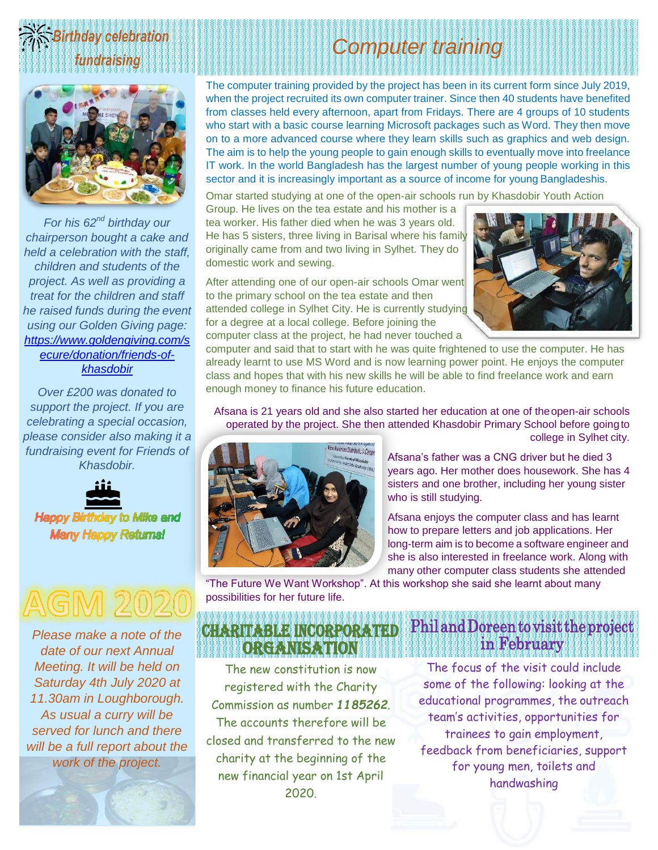



*For his 62nd birthday our chairperson bought a cake and held a celebration with the staff, children and students of the project. As well as providing a treat for the children and staff he raised funds during the event using our Golden Giving page: [https://www.goldengiving.com/s](https://www.goldengiving.com/secure/donation/friends-of-khasdobir) [ecure/donation/friends-of](https://www.goldengiving.com/secure/donation/friends-of-khasdobir)[khasdobir](https://www.goldengiving.com/secure/donation/friends-of-khasdobir)*

*Over £200 was donated to support the project. If you are celebrating a special occasion, please consider also making it a fundraising event for Friends of Khasdobir.*



*Please make a note of the date of our next Annual Meeting. It will be held on Saturday 4th July 2020 at 11.30am in Loughborough. As usual a curry will be served for lunch and there will be a full report about the work of the project.*



# *Computer training*

The computer training provided by the project has been in its current form since July 2019, when the project recruited its own computer trainer. Since then 40 students have benefited from classes held every afternoon, apart from Fridays. There are 4 groups of 10 students who start with a basic course learning Microsoft packages such as Word. They then move on to a more advanced course where they learn skills such as graphics and web design. The aim is to help the young people to gain enough skills to eventually move into freelance IT work. In the world Bangladesh has the largest number of young people working in this sector and it is increasingly important as a source of income for young Bangladeshis.

Omar started studying at one of the open-air schools run by Khasdobir Youth Action

Group. He lives on the tea estate and his mother is a tea worker. His father died when he was 3 years old. He has 5 sisters, three living in Barisal where his family originally came from and two living in Sylhet. They do domestic work and sewing.

After attending one of our open-air schools Omar went to the primary school on the tea estate and then attended college in Sylhet City. He is currently studying for a degree at a local college. Before joining the computer class at the project, he had never touched a



computer and said that to start with he was quite frightened to use the computer. He has already learnt to use MS Word and is now learning power point. He enjoys the computer class and hopes that with his new skills he will be able to find freelance work and earn enough money to finance his future education.

Afsana is 21 years old and she also started her education at one of theopen-air schools operated by the project. She then attended Khasdobir Primary School before goingto college in Sylhet city.



Afsana's father was a CNG driver but he died 3 years ago. Her mother does housework. She has 4 sisters and one brother, including her young sister who is still studying.

Afsana enjoys the computer class and has learnt how to prepare letters and job applications. Her long-term aim is to become a software engineer and she is also interested in freelance work. Along with many other computer class students she attended

"The Future We Want Workshop". At this workshop she said she learnt about many possibilities for her future life.

#### Charitable inCorporated organisation

The new constitution is now registered with the Charity Commission as number *1185262*. The accounts therefore will be closed and transferred to the new charity at the beginning of the new financial year on 1st April 2020.

### Phil and Doreen to visit the project in February

The focus of the visit could include some of the following: looking at the educational programmes, the outreach team's activities, opportunities for trainees to gain employment, feedback from beneficiaries, support for young men, toilets and handwashing